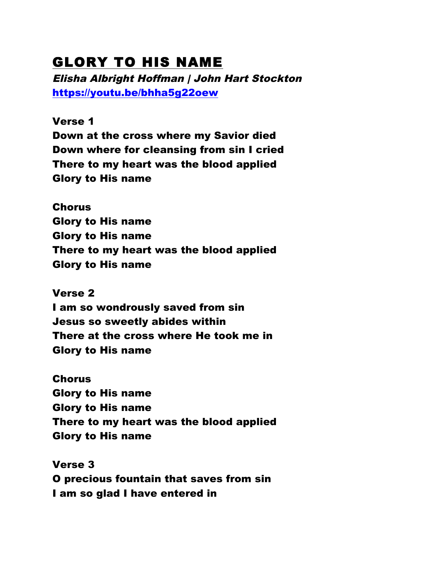## GLORY TO HIS NAME

Elisha Albright Hoffman | John Hart Stockton https://youtu.be/bhha5g22oew

Verse 1 Down at the cross where my Savior died Down where for cleansing from sin I cried There to my heart was the blood applied Glory to His name

Chorus Glory to His name Glory to His name There to my heart was the blood applied Glory to His name

Verse 2 I am so wondrously saved from sin Jesus so sweetly abides within There at the cross where He took me in Glory to His name

**Chorus** Glory to His name Glory to His name There to my heart was the blood applied Glory to His name

Verse 3 O precious fountain that saves from sin I am so glad I have entered in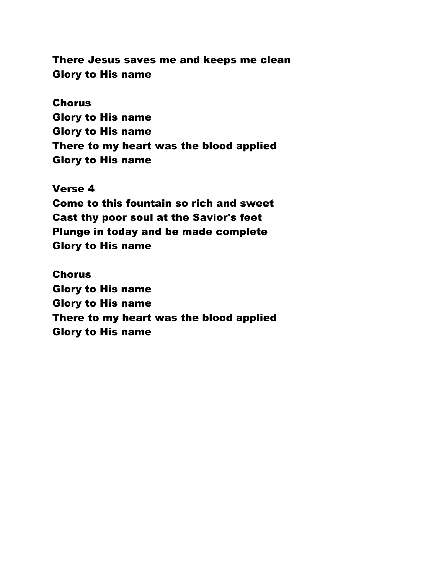There Jesus saves me and keeps me clean Glory to His name

**Chorus** Glory to His name Glory to His name There to my heart was the blood applied Glory to His name

Verse 4 Come to this fountain so rich and sweet Cast thy poor soul at the Savior's feet Plunge in today and be made complete Glory to His name

Chorus Glory to His name Glory to His name There to my heart was the blood applied Glory to His name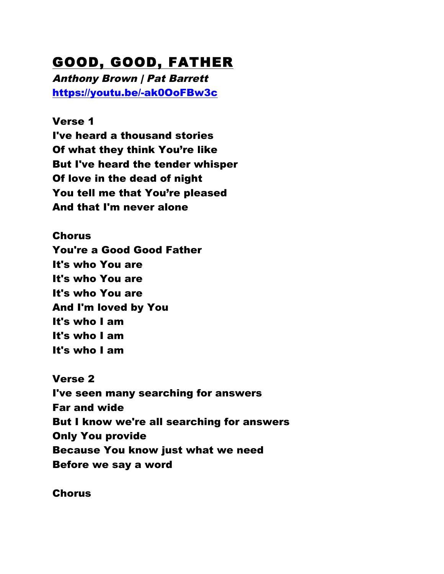# GOOD, GOOD, FATHER

Anthony Brown | Pat Barrett https://youtu.be/-ak0OoFBw3c

Verse 1 I've heard a thousand stories Of what they think You're like But I've heard the tender whisper Of love in the dead of night You tell me that You're pleased And that I'm never alone

Chorus You're a Good Good Father It's who You are It's who You are It's who You are And I'm loved by You It's who I am It's who I am It's who I am

Verse 2 I've seen many searching for answers Far and wide But I know we're all searching for answers Only You provide Because You know just what we need Before we say a word

**Chorus**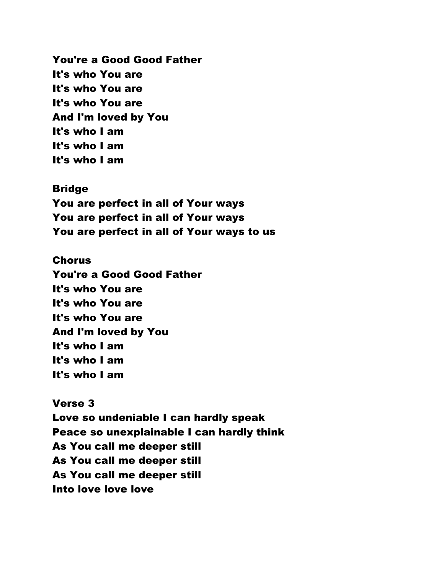You're a Good Good Father It's who You are It's who You are It's who You are And I'm loved by You It's who I am It's who I am It's who I am

### Bridge

You are perfect in all of Your ways You are perfect in all of Your ways You are perfect in all of Your ways to us

#### **Chorus**

You're a Good Good Father It's who You are It's who You are It's who You are And I'm loved by You It's who I am It's who I am It's who I am

Verse 3 Love so undeniable I can hardly speak Peace so unexplainable I can hardly think As You call me deeper still As You call me deeper still As You call me deeper still Into love love love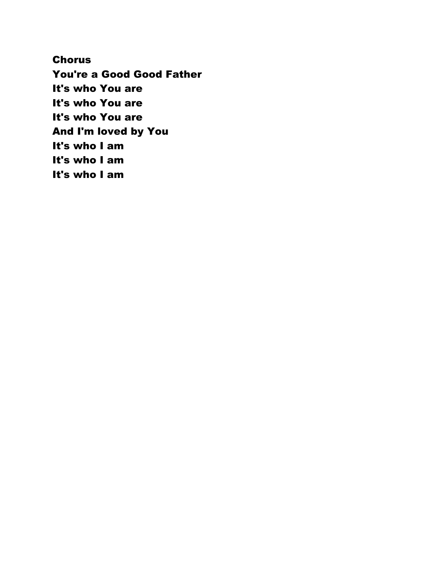Chorus You're a Good Good Father It's who You are It's who You are It's who You are And I'm loved by You It's who I am It's who I am It's who I am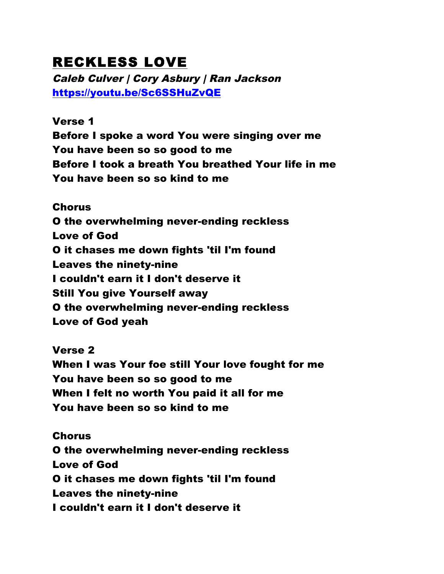### RECKLESS LOVE

Caleb Culver | Cory Asbury | Ran Jackson https://youtu.be/Sc6SSHuZvQE

Verse 1 Before I spoke a word You were singing over me You have been so so good to me Before I took a breath You breathed Your life in me You have been so so kind to me

**Chorus** O the overwhelming never-ending reckless Love of God O it chases me down fights 'til I'm found Leaves the ninety-nine I couldn't earn it I don't deserve it Still You give Yourself away O the overwhelming never-ending reckless Love of God yeah

Verse 2 When I was Your foe still Your love fought for me You have been so so good to me When I felt no worth You paid it all for me You have been so so kind to me

**Chorus** O the overwhelming never-ending reckless Love of God O it chases me down fights 'til I'm found Leaves the ninety-nine I couldn't earn it I don't deserve it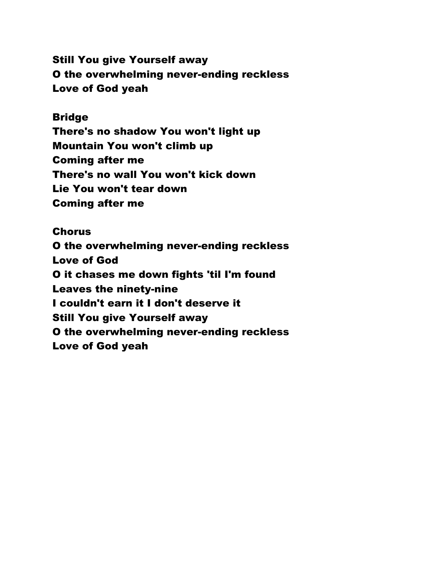Still You give Yourself away O the overwhelming never-ending reckless Love of God yeah

#### Bridge

There's no shadow You won't light up Mountain You won't climb up Coming after me There's no wall You won't kick down Lie You won't tear down Coming after me

**Chorus** O the overwhelming never-ending reckless Love of God O it chases me down fights 'til I'm found Leaves the ninety-nine I couldn't earn it I don't deserve it Still You give Yourself away O the overwhelming never-ending reckless Love of God yeah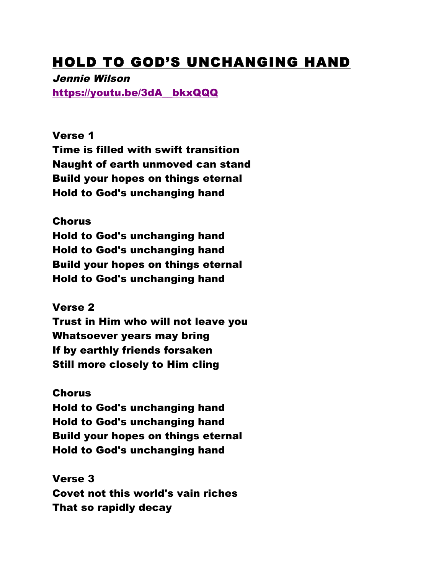## HOLD TO GOD'S UNCHANGING HAND

Jennie Wilson

https://youtu.be/3dA\_\_bkxQQQ

Verse 1 Time is filled with swift transition Naught of earth unmoved can stand Build your hopes on things eternal Hold to God's unchanging hand

**Chorus** Hold to God's unchanging hand Hold to God's unchanging hand Build your hopes on things eternal Hold to God's unchanging hand

Verse 2 Trust in Him who will not leave you Whatsoever years may bring If by earthly friends forsaken Still more closely to Him cling

Chorus Hold to God's unchanging hand Hold to God's unchanging hand Build your hopes on things eternal Hold to God's unchanging hand

Verse 3 Covet not this world's vain riches That so rapidly decay